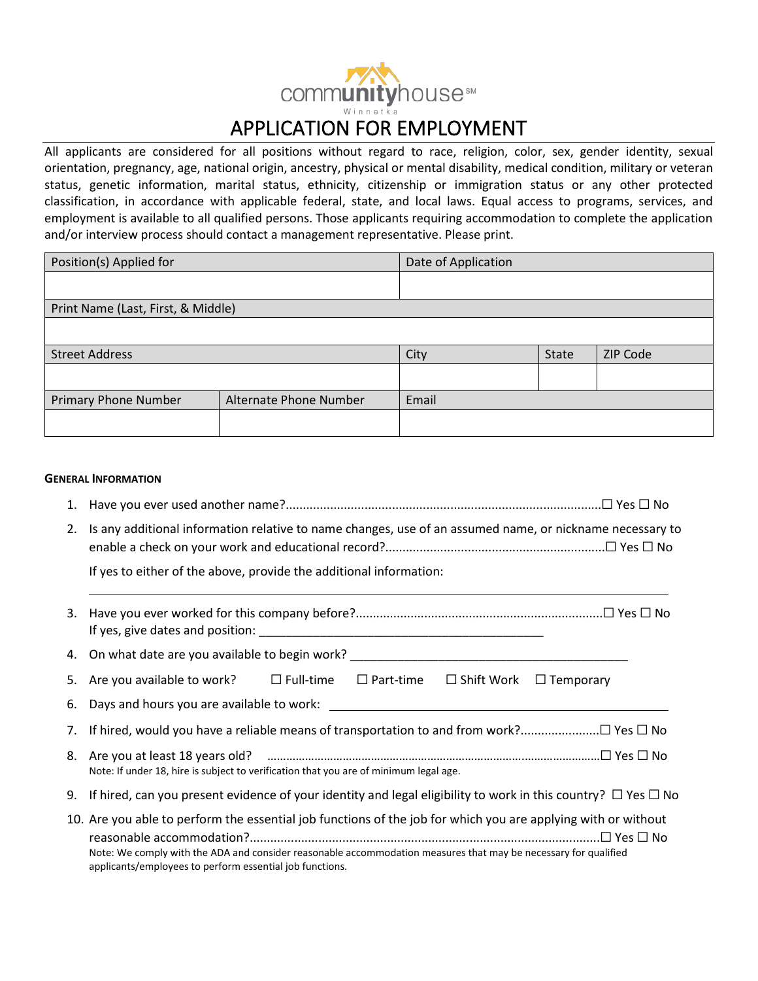# communityhouse<sup>s M</sup> APPLICATION FOR EMPLOYMENT

All applicants are considered for all positions without regard to race, religion, color, sex, gender identity, sexual orientation, pregnancy, age, national origin, ancestry, physical or mental disability, medical condition, military or veteran status, genetic information, marital status, ethnicity, citizenship or immigration status or any other protected classification, in accordance with applicable federal, state, and local laws. Equal access to programs, services, and employment is available to all qualified persons. Those applicants requiring accommodation to complete the application and/or interview process should contact a management representative. Please print.

| Position(s) Applied for            |                        | Date of Application |       |          |
|------------------------------------|------------------------|---------------------|-------|----------|
|                                    |                        |                     |       |          |
| Print Name (Last, First, & Middle) |                        |                     |       |          |
|                                    |                        |                     |       |          |
| <b>Street Address</b>              |                        | City                | State | ZIP Code |
|                                    |                        |                     |       |          |
| <b>Primary Phone Number</b>        | Alternate Phone Number | Email               |       |          |
|                                    |                        |                     |       |          |

## **GENERAL INFORMATION**

- 1. Have you ever used another name?............................................................................................☐ Yes ☐ No
- 2. Is any additional information relative to name changes, use of an assumed name, or nickname necessary to enable a check on your work and educational record?................................................................☐ Yes ☐ No

If yes to either of the above, provide the additional information:

3. Have you ever worked for this company before?........................................................................☐ Yes ☐ No If yes, give dates and position: \_\_\_\_\_\_\_\_\_\_\_\_\_\_\_\_\_\_\_\_\_\_\_\_\_\_\_\_\_\_\_\_\_\_\_\_\_\_\_\_\_\_

4. On what date are you available to begin work?

5. Are you available to work? ☐ Full-time ☐ Part-time ☐ Shift Work ☐ Temporary

6. Days and hours you are available to work: 7. If hired, would you have a reliable means of transportation to and from work?.......................☐ Yes ☐ No

- 8. Are you at least 18 years old? ……………………………………………………………………….……………………☐ Yes ☐ No Note: If under 18, hire is subject to verification that you are of minimum legal age.
- 9. If hired, can you present evidence of your identity and legal eligibility to work in this country?  $\Box$  Yes  $\Box$  No
- 10. Are you able to perform the essential job functions of the job for which you are applying with or without reasonable accommodation?......................................................................................................☐ Yes ☐ No Note: We comply with the ADA and consider reasonable accommodation measures that may be necessary for qualified applicants/employees to perform essential job functions.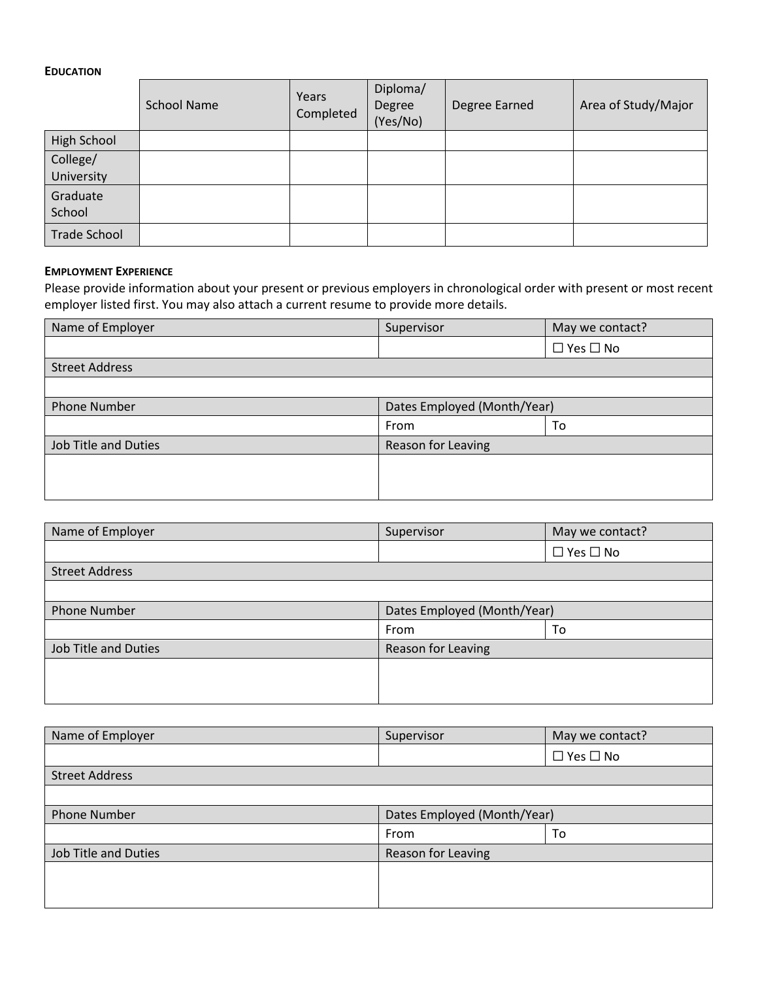## **EDUCATION**

|                     | <b>School Name</b> | Years<br>Completed | Diploma/<br>Degree<br>(Yes/No) | Degree Earned | Area of Study/Major |
|---------------------|--------------------|--------------------|--------------------------------|---------------|---------------------|
| <b>High School</b>  |                    |                    |                                |               |                     |
| College/            |                    |                    |                                |               |                     |
| University          |                    |                    |                                |               |                     |
| Graduate            |                    |                    |                                |               |                     |
| School              |                    |                    |                                |               |                     |
| <b>Trade School</b> |                    |                    |                                |               |                     |

#### **EMPLOYMENT EXPERIENCE**

Please provide information about your present or previous employers in chronological order with present or most recent employer listed first. You may also attach a current resume to provide more details.

| Name of Employer            | Supervisor                  | May we contact?      |  |
|-----------------------------|-----------------------------|----------------------|--|
|                             |                             | $\Box$ Yes $\Box$ No |  |
| <b>Street Address</b>       |                             |                      |  |
|                             |                             |                      |  |
| <b>Phone Number</b>         | Dates Employed (Month/Year) |                      |  |
|                             | From                        | To                   |  |
| <b>Job Title and Duties</b> | Reason for Leaving          |                      |  |
|                             |                             |                      |  |
|                             |                             |                      |  |
|                             |                             |                      |  |

| Name of Employer            | Supervisor                  | May we contact?      |  |
|-----------------------------|-----------------------------|----------------------|--|
|                             |                             | $\Box$ Yes $\Box$ No |  |
| <b>Street Address</b>       |                             |                      |  |
|                             |                             |                      |  |
| <b>Phone Number</b>         | Dates Employed (Month/Year) |                      |  |
|                             | From                        | To                   |  |
| <b>Job Title and Duties</b> | Reason for Leaving          |                      |  |
|                             |                             |                      |  |
|                             |                             |                      |  |
|                             |                             |                      |  |

| Name of Employer      | Supervisor                  | May we contact?      |  |
|-----------------------|-----------------------------|----------------------|--|
|                       |                             | $\Box$ Yes $\Box$ No |  |
| <b>Street Address</b> |                             |                      |  |
|                       |                             |                      |  |
| <b>Phone Number</b>   | Dates Employed (Month/Year) |                      |  |
|                       | From                        | To                   |  |
| Job Title and Duties  | Reason for Leaving          |                      |  |
|                       |                             |                      |  |
|                       |                             |                      |  |
|                       |                             |                      |  |